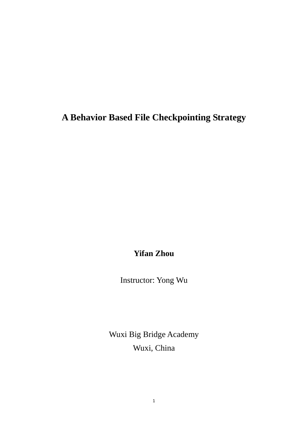## **A Behavior Based File Checkpointing Strategy**

**Yifan Zhou**

Instructor: Yong Wu

Wuxi Big Bridge Academy Wuxi, China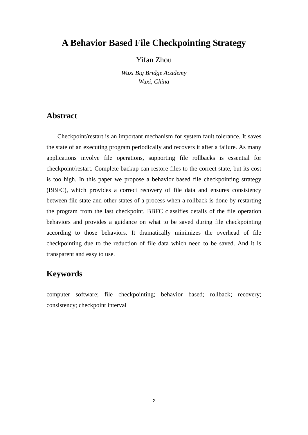## **A Behavior Based File Checkpointing Strategy**

Yifan Zhou

*Wuxi Big Bridge Academy Wuxi, China*

### **Abstract**

Checkpoint/restart is an important mechanism for system fault tolerance. It saves the state of an executing program periodically and recovers it after a failure. As many applications involve file operations, supporting file rollbacks is essential for checkpoint/restart. Complete backup can restore files to the correct state, but its cost is too high. In this paper we propose a behavior based file checkpointing strategy (BBFC), which provides a correct recovery of file data and ensures consistency between file state and other states of a process when a rollback is done by restarting the program from the last checkpoint. BBFC classifies details of the file operation behaviors and provides a guidance on what to be saved during file checkpointing according to those behaviors. It dramatically minimizes the overhead of file checkpointing due to the reduction of file data which need to be saved. And it is transparent and easy to use.

## **Keywords**

computer software; file checkpointing; behavior based; rollback; recovery; consistency; checkpoint interval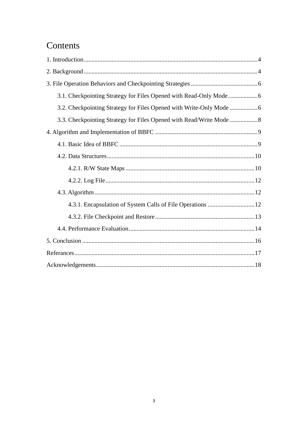# Contents

| 3.2. Checkpointing Strategy for Files Opened with Write-Only Mode    |
|----------------------------------------------------------------------|
| 3.3. Checkpointing Strategy for Files Opened with Read/Write Mode  8 |
|                                                                      |
|                                                                      |
|                                                                      |
|                                                                      |
|                                                                      |
|                                                                      |
|                                                                      |
|                                                                      |
|                                                                      |
|                                                                      |
|                                                                      |
|                                                                      |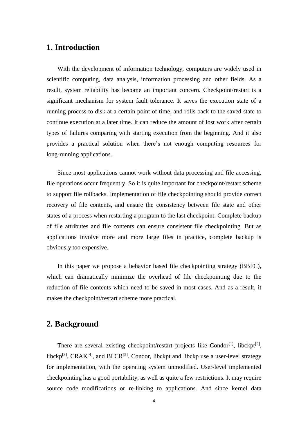## <span id="page-3-0"></span>**1. Introduction**

With the development of information technology, computers are widely used in scientific computing, data analysis, information processing and other fields. As a result, system reliability has become an important concern. Checkpoint/restart is a significant mechanism for system fault tolerance. It saves the execution state of a running process to disk at a certain point of time, and rolls back to the saved state to continue execution at a later time. It can reduce the amount of lost work after certain types of failures comparing with starting execution from the beginning. And it also provides a practical solution when there's not enough computing resources for long-running applications.

Since most applications cannot work without data processing and file accessing, file operations occur frequently. So it is quite important for checkpoint/restart scheme to support file rollbacks. Implementation of file checkpointing should provide correct recovery of file contents, and ensure the consistency between file state and other states of a process when restarting a program to the last checkpoint. Complete backup of file attributes and file contents can ensure consistent file checkpointing. But as applications involve more and more large files in practice, complete backup is obviously too expensive.

In this paper we propose a behavior based file checkpointing strategy (BBFC), which can dramatically minimize the overhead of file checkpointing due to the reduction of file contents which need to be saved in most cases. And as a result, it makes the checkpoint/restart scheme more practical.

## <span id="page-3-1"></span>**2. Background**

There are several existing checkpoint/restart projects like Condor<sup>[1]</sup>, libckpt<sup>[2]</sup>, libckp<sup>[3]</sup>, CRAK<sup>[4]</sup>, and BLCR<sup>[5]</sup>. Condor, libckpt and libckp use a user-level strategy for implementation, with the operating system unmodified. User-level implemented checkpointing has a good portability, as well as quite a few restrictions. It may require source code modifications or re-linking to applications. And since kernel data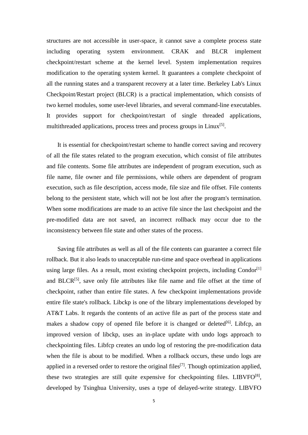structures are not accessible in user-space, it cannot save a complete process state including operating system environment. CRAK and BLCR implement checkpoint/restart scheme at the kernel level. System implementation requires modification to the operating system kernel. It guarantees a complete checkpoint of all the running states and a transparent recovery at a later time. Berkeley Lab's Linux Checkpoint/Restart project (BLCR) is a practical implementation, which consists of two kernel modules, some user-level libraries, and several command-line executables. It provides support for checkpoint/restart of single threaded applications, multithreaded applications, process trees and process groups in Linux<sup>[5]</sup>.

It is essential for checkpoint/restart scheme to handle correct saving and recovery of all the file states related to the program execution, which consist of file attributes and file contents. Some file attributes are independent of program execution, such as file name, file owner and file permissions, while others are dependent of program execution, such as file description, access mode, file size and file offset. File contents belong to the persistent state, which will not be lost after the program's termination. When some modifications are made to an active file since the last checkpoint and the pre-modified data are not saved, an incorrect rollback may occur due to the inconsistency between file state and other states of the process.

Saving file attributes as well as all of the file contents can guarantee a correct file rollback. But it also leads to unacceptable run-time and space overhead in applications using large files. As a result, most existing checkpoint projects, including Condor<sup>[1]</sup> and BLCR<sup>[5]</sup>, save only file attributes like file name and file offset at the time of checkpoint, rather than entire file states. A few checkpoint implementations provide entire file state's rollback. Libckp is one of the library implementations developed by AT&T Labs. It regards the contents of an active file as part of the process state and makes a shadow copy of opened file before it is changed or deleted<sup>[6]</sup>. Libfcp, an improved version of libckp, uses an in-place update with undo logs approach to checkpointing files. Libfcp creates an undo log of restoring the pre-modification data when the file is about to be modified. When a rollback occurs, these undo logs are applied in a reversed order to restore the original files<sup>[7]</sup>. Though optimization applied, these two strategies are still quite expensive for checkpointing files. LIBVFO<sup>[8]</sup>, developed by Tsinghua University, uses a type of delayed-write strategy. LIBVFO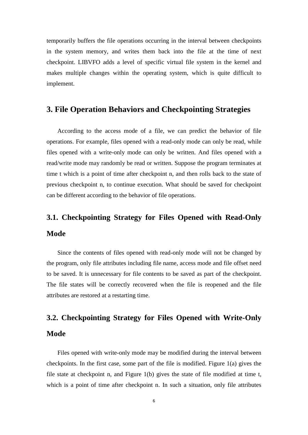temporarily buffers the file operations occurring in the interval between checkpoints in the system memory, and writes them back into the file at the time of next checkpoint. LIBVFO adds a level of specific virtual file system in the kernel and makes multiple changes within the operating system, which is quite difficult to implement.

## <span id="page-5-0"></span>**3. File Operation Behaviors and Checkpointing Strategies**

According to the access mode of a file, we can predict the behavior of file operations. For example, files opened with a read-only mode can only be read, while files opened with a write-only mode can only be written. And files opened with a read/write mode may randomly be read or written. Suppose the program terminates at time t which is a point of time after checkpoint n, and then rolls back to the state of previous checkpoint n, to continue execution. What should be saved for checkpoint can be different according to the behavior of file operations.

# <span id="page-5-1"></span>**3.1. Checkpointing Strategy for Files Opened with Read-Only Mode**

Since the contents of files opened with read-only mode will not be changed by the program, only file attributes including file name, access mode and file offset need to be saved. It is unnecessary for file contents to be saved as part of the checkpoint. The file states will be correctly recovered when the file is reopened and the file attributes are restored at a restarting time.

# <span id="page-5-2"></span>**3.2. Checkpointing Strategy for Files Opened with Write-Only Mode**

Files opened with write-only mode may be modified during the interval between checkpoints. In the first case, some part of the file is modified. Figure 1(a) gives the file state at checkpoint n, and Figure 1(b) gives the state of file modified at time t, which is a point of time after checkpoint n. In such a situation, only file attributes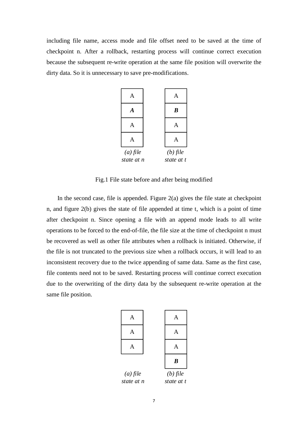including file name, access mode and file offset need to be saved at the time of checkpoint n. After a rollback, restarting process will continue correct execution because the subsequent re-write operation at the same file position will overwrite the dirty data. So it is unnecessary to save pre-modifications.



Fig.1 File state before and after being modified

In the second case, file is appended. Figure  $2(a)$  gives the file state at checkpoint n, and figure 2(b) gives the state of file appended at time t, which is a point of time after checkpoint n. Since opening a file with an append mode leads to all write operations to be forced to the end-of-file, the file size at the time of checkpoint n must be recovered as well as other file attributes when a rollback is initiated. Otherwise, if the file is not truncated to the previous size when a rollback occurs, it will lead to an inconsistent recovery due to the twice appending of same data. Same as the first case, file contents need not to be saved. Restarting process will continue correct execution due to the overwriting of the dirty data by the subsequent re-write operation at the same file position.

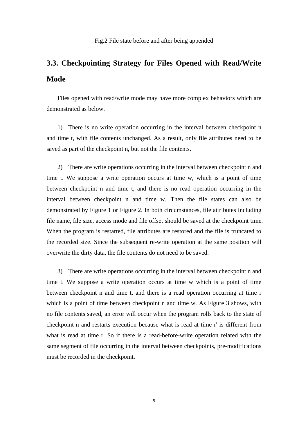# <span id="page-7-0"></span>**3.3. Checkpointing Strategy for Files Opened with Read/Write Mode**

Files opened with read/write mode may have more complex behaviors which are demonstrated as below.

1) There is no write operation occurring in the interval between checkpoint n and time t, with file contents unchanged. As a result, only file attributes need to be saved as part of the checkpoint n, but not the file contents.

2) There are write operations occurring in the interval between checkpoint n and time t. We suppose a write operation occurs at time w, which is a point of time between checkpoint n and time t, and there is no read operation occurring in the interval between checkpoint n and time w. Then the file states can also be demonstrated by Figure 1 or Figure 2. In both circumstances, file attributes including file name, file size, access mode and file offset should be saved at the checkpoint time. When the program is restarted, file attributes are restored and the file is truncated to the recorded size. Since the subsequent re-write operation at the same position will overwrite the dirty data, the file contents do not need to be saved.

3) There are write operations occurring in the interval between checkpoint n and time t. We suppose a write operation occurs at time w which is a point of time between checkpoint n and time t, and there is a read operation occurring at time r which is a point of time between checkpoint n and time w. As Figure 3 shows, with no file contents saved, an error will occur when the program rolls back to the state of checkpoint n and restarts execution because what is read at time r' is different from what is read at time r. So if there is a read-before-write operation related with the same segment of file occurring in the interval between checkpoints, pre-modifications must be recorded in the checkpoint.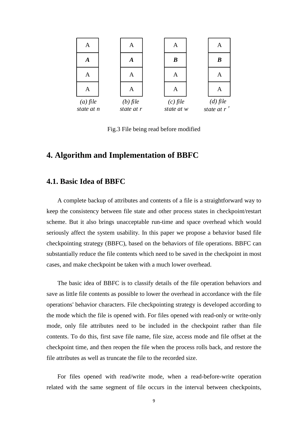

Fig.3 File being read before modified

## <span id="page-8-0"></span>**4. Algorithm and Implementation of BBFC**

### <span id="page-8-1"></span>**4.1. Basic Idea of BBFC**

A complete backup of attributes and contents of a file is a straightforward way to keep the consistency between file state and other process states in checkpoint/restart scheme. But it also brings unacceptable run-time and space overhead which would seriously affect the system usability. In this paper we propose a behavior based file checkpointing strategy (BBFC), based on the behaviors of file operations. BBFC can substantially reduce the file contents which need to be saved in the checkpoint in most cases, and make checkpoint be taken with a much lower overhead.

The basic idea of BBFC is to classify details of the file operation behaviors and save as little file contents as possible to lower the overhead in accordance with the file operations' behavior characters. File checkpointing strategy is developed according to the mode which the file is opened with. For files opened with read-only or write-only mode, only file attributes need to be included in the checkpoint rather than file contents. To do this, first save file name, file size, access mode and file offset at the checkpoint time, and then reopen the file when the process rolls back, and restore the file attributes as well as truncate the file to the recorded size.

For files opened with read/write mode, when a read-before-write operation related with the same segment of file occurs in the interval between checkpoints,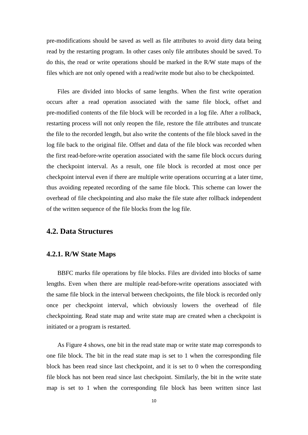pre-modifications should be saved as well as file attributes to avoid dirty data being read by the restarting program. In other cases only file attributes should be saved. To do this, the read or write operations should be marked in the R/W state maps of the files which are not only opened with a read/write mode but also to be checkpointed.

Files are divided into blocks of same lengths. When the first write operation occurs after a read operation associated with the same file block, offset and pre-modified contents of the file block will be recorded in a log file. After a rollback, restarting process will not only reopen the file, restore the file attributes and truncate the file to the recorded length, but also write the contents of the file block saved in the log file back to the original file. Offset and data of the file block was recorded when the first read-before-write operation associated with the same file block occurs during the checkpoint interval. As a result, one file block is recorded at most once per checkpoint interval even if there are multiple write operations occurring at a later time, thus avoiding repeated recording of the same file block. This scheme can lower the overhead of file checkpointing and also make the file state after rollback independent of the written sequence of the file blocks from the log file.

### <span id="page-9-0"></span>**4.2. Data Structures**

#### <span id="page-9-1"></span>**4.2.1. R/W State Maps**

BBFC marks file operations by file blocks. Files are divided into blocks of same lengths. Even when there are multiple read-before-write operations associated with the same file block in the interval between checkpoints, the file block is recorded only once per checkpoint interval, which obviously lowers the overhead of file checkpointing. Read state map and write state map are created when a checkpoint is initiated or a program is restarted.

As Figure 4 shows, one bit in the read state map or write state map corresponds to one file block. The bit in the read state map is set to 1 when the corresponding file block has been read since last checkpoint, and it is set to 0 when the corresponding file block has not been read since last checkpoint. Similarly, the bit in the write state map is set to 1 when the corresponding file block has been written since last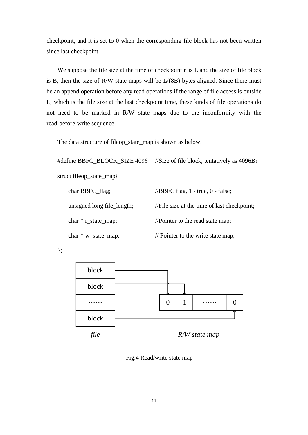checkpoint, and it is set to 0 when the corresponding file block has not been written since last checkpoint.

We suppose the file size at the time of checkpoint n is L and the size of file block is B, then the size of R/W state maps will be L/(8B) bytes aligned. Since there must be an append operation before any read operations if the range of file access is outside L, which is the file size at the last checkpoint time, these kinds of file operations do not need to be marked in R/W state maps due to the inconformity with the read-before-write sequence.

The data structure of fileop\_state\_map is shown as below.

#define BBFC\_BLOCK\_SIZE 4096 //Size of file block, tentatively as 4096B; struct fileop\_state\_map{

| char BBFC_flag;            | //BBFC flag, $1$ - true, $0$ - false;         |
|----------------------------|-----------------------------------------------|
| unsigned long file_length; | //File size at the time of last checkpoint;   |
| char $*$ r_state_map;      | //Pointer to the read state map;              |
| $char * w_state_map;$      | $\frac{1}{2}$ Pointer to the write state map; |

};



Fig.4 Read/write state map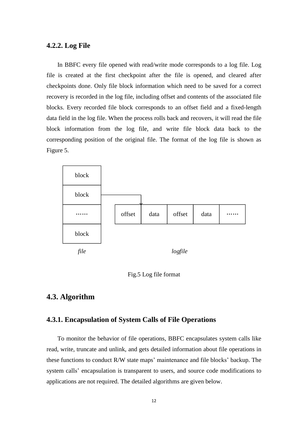#### <span id="page-11-0"></span>**4.2.2. Log File**

In BBFC every file opened with read/write mode corresponds to a log file. Log file is created at the first checkpoint after the file is opened, and cleared after checkpoints done. Only file block information which need to be saved for a correct recovery is recorded in the log file, including offset and contents of the associated file blocks. Every recorded file block corresponds to an offset field and a fixed-length data field in the log file. When the process rolls back and recovers, it will read the file block information from the log file, and write file block data back to the corresponding position of the original file. The format of the log file is shown as Figure 5.





### <span id="page-11-1"></span>**4.3. Algorithm**

#### <span id="page-11-2"></span>**4.3.1. Encapsulation of System Calls of File Operations**

To monitor the behavior of file operations, BBFC encapsulates system calls like read, write, truncate and unlink, and gets detailed information about file operations in these functions to conduct R/W state maps' maintenance and file blocks' backup. The system calls' encapsulation is transparent to users, and source code modifications to applications are not required. The detailed algorithms are given below.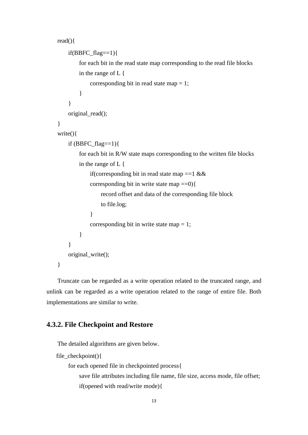```
read(){
    if(BBFC_flag==1)for each bit in the read state map corresponding to the read file blocks 
        in the range of L {
             corresponding bit in read state map = 1;
         }
    }
    original_read();
}
write(){
    if (BBFC_{flag}==1){
         for each bit in R/W state maps corresponding to the written file blocks 
        in the range of L {
             if(corresponding bit in read state map ==1 &&
             corresponding bit in write state map ==0}{
                 record offset and data of the corresponding file block
                 to file.log;
             }
             corresponding bit in write state map = 1;
         }
    }
    original write();
}
```
Truncate can be regarded as a write operation related to the truncated range, and unlink can be regarded as a write operation related to the range of entire file. Both implementations are similar to write.

#### <span id="page-12-0"></span>**4.3.2. File Checkpoint and Restore**

The detailed algorithms are given below.

```
file_checkpoint(){
    for each opened file in checkpointed process{
         save file attributes including file name, file size, access mode, file offset;
         if(opened with read/write mode){
```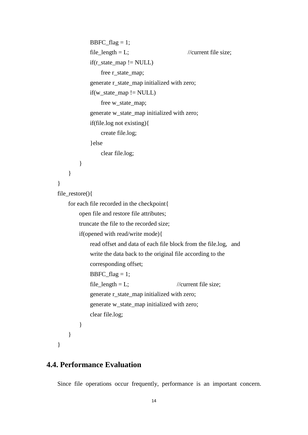```
BBFC_{flag} = 1;file_length = L; //current file size;
            if(r\_state\_map != NULL)free r_state_map;
            generate r_state_map initialized with zero;
            if(w\_state\_map != NULL)free w_state_map;
            generate w_state_map initialized with zero;
            if(file.log not existing){
                 create file.log;
             }else 
                 clear file.log;
        }
    }
}
file_restore(){
    for each file recorded in the checkpoint{
        open file and restore file attributes;
        truncate the file to the recorded size;
        if(opened with read/write mode){
            read offset and data of each file block from the file.log, and
            write the data back to the original file according to the
            corresponding offset;
            BBFC_{flag} = 1;file_length = L; //current file size;
            generate r_state_map initialized with zero;
            generate w_state_map initialized with zero;
            clear file.log;
        }
    }
}
```
#### <span id="page-13-0"></span>**4.4. Performance Evaluation**

Since file operations occur frequently, performance is an important concern.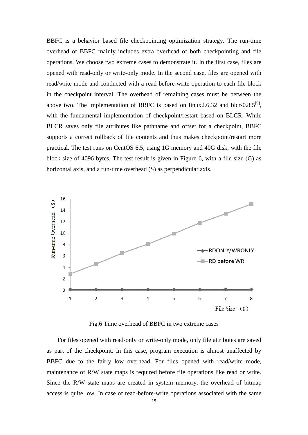BBFC is a behavior based file checkpointing optimization strategy. The run-time overhead of BBFC mainly includes extra overhead of both checkpointing and file operations. We choose two extreme cases to demonstrate it. In the first case, files are opened with read-only or write-only mode. In the second case, files are opened with read/write mode and conducted with a read-before-write operation to each file block in the checkpoint interval. The overhead of remaining cases must be between the above two. The implementation of BBFC is based on  $\text{linux2.6.32}$  and blcr-0.8.5<sup>[9]</sup>, with the fundamental implementation of checkpoint/restart based on BLCR. While BLCR saves only file attributes like pathname and offset for a checkpoint, BBFC supports a correct rollback of file contents and thus makes checkpoint/restart more practical. The test runs on CentOS 6.5, using 1G memory and 40G disk, with the file block size of 4096 bytes. The test result is given in Figure 6, with a file size (G) as horizontal axis, and a run-time overhead (S) as perpendicular axis.



Fig.6 Time overhead of BBFC in two extreme cases

For files opened with read-only or write-only mode, only file attributes are saved as part of the checkpoint. In this case, program execution is almost unaffected by BBFC due to the fairly low overhead. For files opened with read/write mode, maintenance of R/W state maps is required before file operations like read or write. Since the R/W state maps are created in system memory, the overhead of bitmap access is quite low. In case of read-before-write operations associated with the same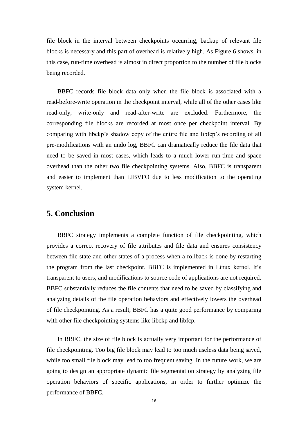file block in the interval between checkpoints occurring, backup of relevant file blocks is necessary and this part of overhead is relatively high. As Figure 6 shows, in this case, run-time overhead is almost in direct proportion to the number of file blocks being recorded.

BBFC records file block data only when the file block is associated with a read-before-write operation in the checkpoint interval, while all of the other cases like read-only, write-only and read-after-write are excluded. Furthermore, the corresponding file blocks are recorded at most once per checkpoint interval. By comparing with libckp's shadow copy of the entire file and libfcp's recording of all pre-modifications with an undo log, BBFC can dramatically reduce the file data that need to be saved in most cases, which leads to a much lower run-time and space overhead than the other two file checkpointing systems. Also, BBFC is transparent and easier to implement than LIBVFO due to less modification to the operating system kernel.

## <span id="page-15-0"></span>**5. Conclusion**

BBFC strategy implements a complete function of file checkpointing, which provides a correct recovery of file attributes and file data and ensures consistency between file state and other states of a process when a rollback is done by restarting the program from the last checkpoint. BBFC is implemented in Linux kernel. It's transparent to users, and modifications to source code of applications are not required. BBFC substantially reduces the file contents that need to be saved by classifying and analyzing details of the file operation behaviors and effectively lowers the overhead of file checkpointing. As a result, BBFC has a quite good performance by comparing with other file checkpointing systems like libckp and libfcp.

In BBFC, the size of file block is actually very important for the performance of file checkpointing. Too big file block may lead to too much useless data being saved, while too small file block may lead to too frequent saving. In the future work, we are going to design an appropriate dynamic file segmentation strategy by analyzing file operation behaviors of specific applications, in order to further optimize the performance of BBFC.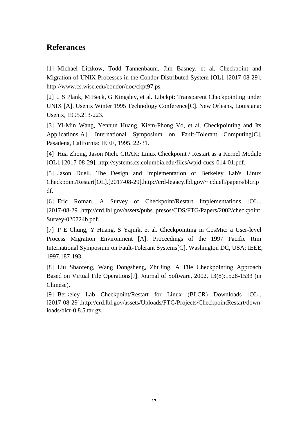## <span id="page-16-0"></span>**Referances**

[1] Michael Litzkow, Todd Tannenbaum, Jim Basney, et al. Checkpoint and Migration of UNIX Processes in the Condor Distributed System [OL]. [2017-08-29]. http://www.cs.wisc.edu/condor/doc/ckpt97.ps.

[2] J S Plank, M Beck, G Kingsley, et al. Libckpt: Transparent Checkpointing under UNIX [A]. Usenix Winter 1995 Technology Conference[C]. New Orleans, Louisiana: Usenix, 1995.213-223.

[3] Yi-Min Wang, Yennun Huang, Kiem-Phong Vo, et al. Checkpointing and Its Applications[A]. International Symposium on Fault-Tolerant Computing[C]. Pasadena, California: IEEE, 1995. 22-31.

[4] Hua Zhong, Jason Nieh. CRAK: Linux Checkpoint / Restart as a Kernel Module [OL]. [2017-08-29]. http://systems.cs.columbia.edu/files/wpid-cucs-014-01.pdf.

[5] Jason Duell. The Design and Implementation of Berkeley Lab's Linux Checkpoint/Restart[OL].[2017-08-29].http://crd-legacy.lbl.gov/~jcduell/papers/blcr.p df.

[6] Eric Roman. A Survey of Checkpoint/Restart Implementations [OL]. [2017-08-29].http://crd.lbl.gov/assets/pubs\_presos/CDS/FTG/Papers/2002/checkpoint Survey-020724b.pdf.

[7] P E Chung, Y Huang, S Yajnik, et al. Checkpointing in CosMic: a User-level Process Migration Environment [A]. Proceedings of the 1997 Pacific Rim International Symposium on Fault-Tolerant Systems[C]. Washington DC, USA: IEEE, 1997.187-193.

[8] Liu Shaofeng, Wang Dongsheng, ZhuJing. A File Checkpointing Approach Based on Virtual File Operations[J]. Journal of Software, 2002, 13(8):1528-1533 (in Chinese).

[9] Berkeley Lab Checkpoint/Restart for Linux (BLCR) Downloads [OL]. [2017-08-29].http://crd.lbl.gov/assets/Uploads/FTG/Projects/CheckpointRestart/down loads/blcr-0.8.5.tar.gz.